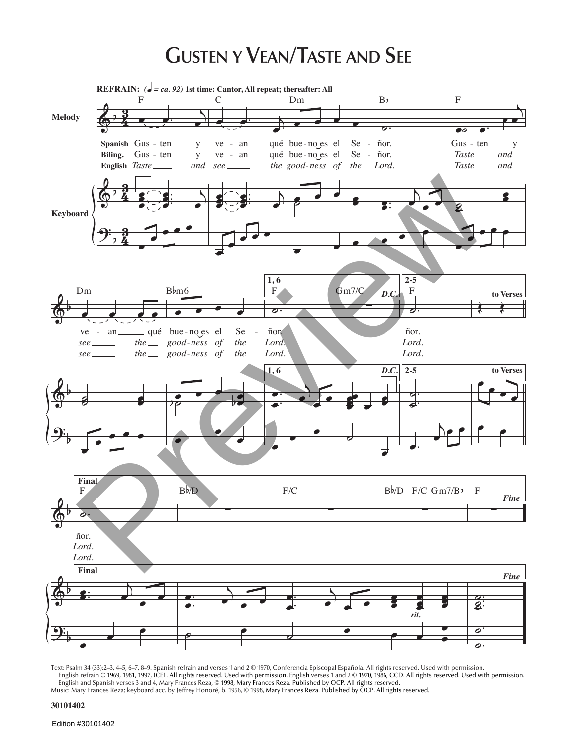## **GUSTEN Y VEAN/TASTE AND SEE**



Text: Psalm 34 (33):2–3, 4–5, 6–7, 8–9. Spanish refrain and verses 1 and 2 © 1970, Conferencia Episcopal Española. All rights reserved. Used with permission. English refrain © 1969, 1981, 1997, ICEL. All rights reserved. Used with permission. English verses 1 and 2 © 1970, 1986, CCD. All rights reserved. Used with permission. English and Spanish verses 3 and 4, Mary Frances Reza, © 1998, Mary Frances Reza. Published by OCP. All rights reserved.

Music: Mary Frances Reza; keyboard acc. by Jeffrey Honoré, b. 1956, © 1998, Mary Frances Reza. Published by OCP. All rights reserved.

## **30101402**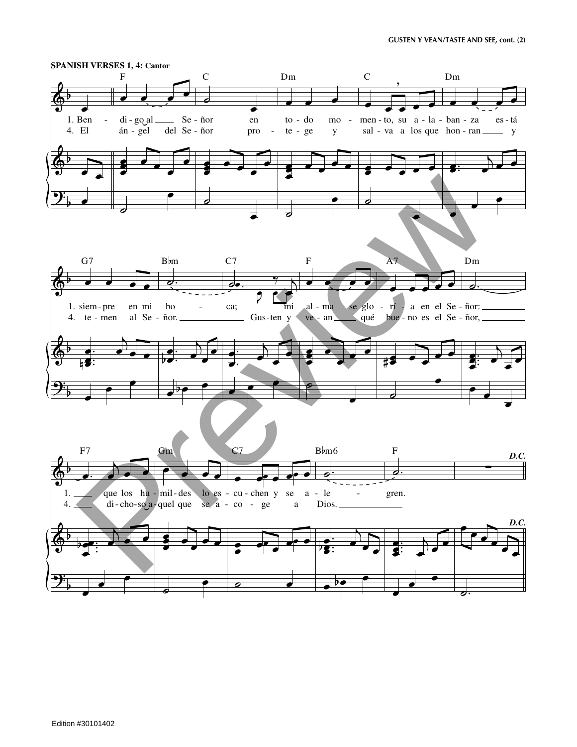

Edition #30101402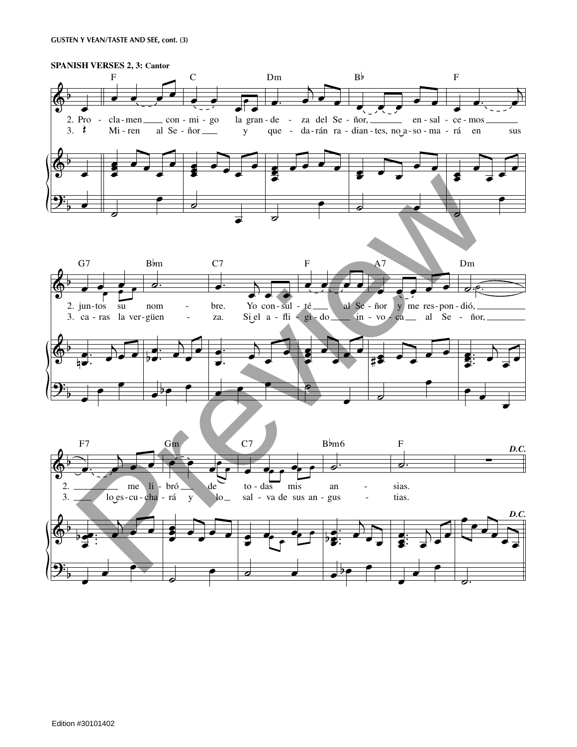